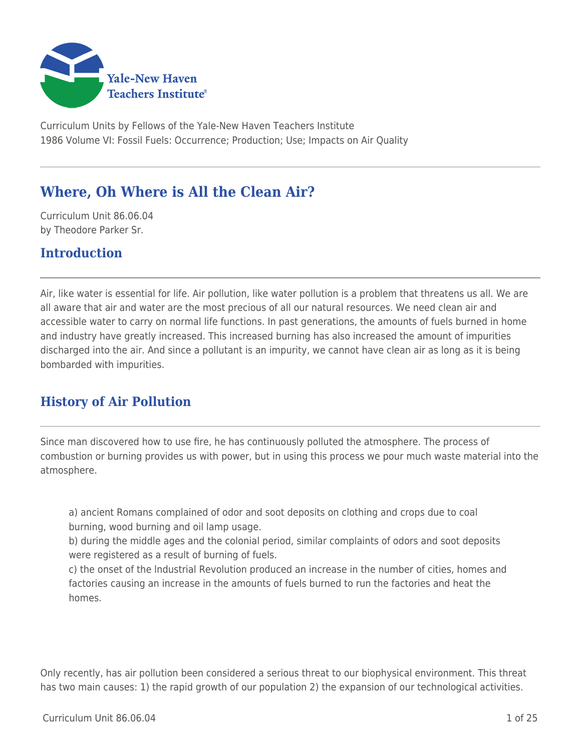

Curriculum Units by Fellows of the Yale-New Haven Teachers Institute 1986 Volume VI: Fossil Fuels: Occurrence; Production; Use; Impacts on Air Quality

# **Where, Oh Where is All the Clean Air?**

Curriculum Unit 86.06.04 by Theodore Parker Sr.

## **Introduction**

Air, like water is essential for life. Air pollution, like water pollution is a problem that threatens us all. We are all aware that air and water are the most precious of all our natural resources. We need clean air and accessible water to carry on normal life functions. In past generations, the amounts of fuels burned in home and industry have greatly increased. This increased burning has also increased the amount of impurities discharged into the air. And since a pollutant is an impurity, we cannot have clean air as long as it is being bombarded with impurities.

## **History of Air Pollution**

Since man discovered how to use fire, he has continuously polluted the atmosphere. The process of combustion or burning provides us with power, but in using this process we pour much waste material into the atmosphere.

a) ancient Romans complained of odor and soot deposits on clothing and crops due to coal burning, wood burning and oil lamp usage.

b) during the middle ages and the colonial period, similar complaints of odors and soot deposits were registered as a result of burning of fuels.

c) the onset of the lndustrial Revolution produced an increase in the number of cities, homes and factories causing an increase in the amounts of fuels burned to run the factories and heat the homes.

Only recently, has air pollution been considered a serious threat to our biophysical environment. This threat has two main causes: 1) the rapid growth of our population 2) the expansion of our technological activities.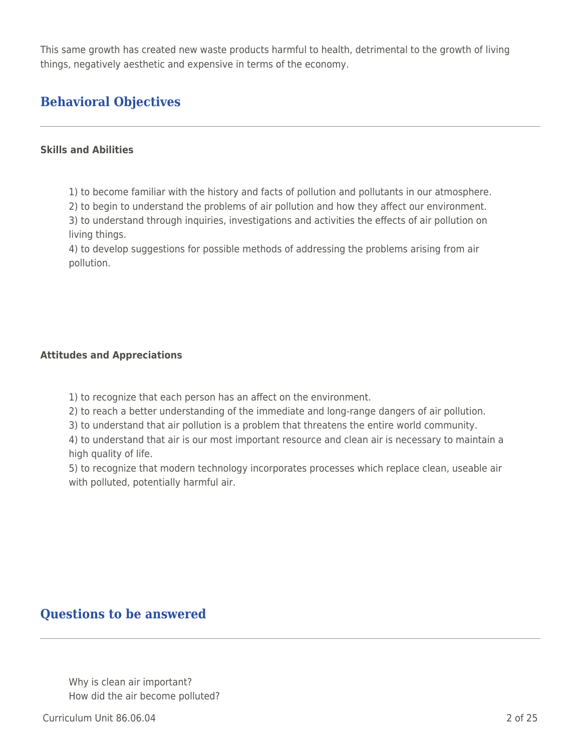This same growth has created new waste products harmful to health, detrimental to the growth of living things, negatively aesthetic and expensive in terms of the economy.

# **Behavioral Objectives**

### **Skills and Abilities**

1) to become familiar with the history and facts of pollution and pollutants in our atmosphere.

2) to begin to understand the problems of air pollution and how they affect our environment.

3) to understand through inquiries, investigations and activities the effects of air pollution on living things.

4) to develop suggestions for possible methods of addressing the problems arising from air pollution.

## **Attitudes and Appreciations**

1) to recognize that each person has an affect on the environment.

2) to reach a better understanding of the immediate and long-range dangers of air pollution.

3) to understand that air pollution is a problem that threatens the entire world community.

4) to understand that air is our most important resource and clean air is necessary to maintain a high quality of life.

5) to recognize that modern technology incorporates processes which replace clean, useable air with polluted, potentially harmful air.

## **Questions to be answered**

Why is clean air important? How did the air become polluted?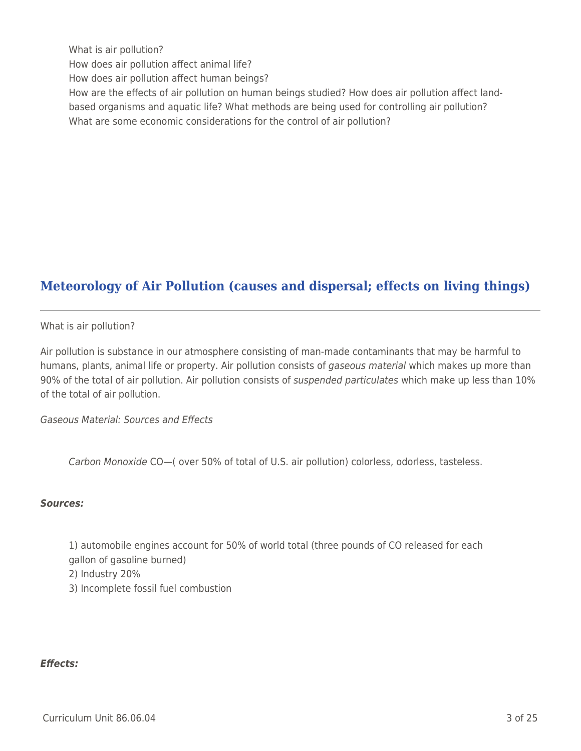What is air pollution?

How does air pollution affect animal life?

How does air pollution affect human beings?

How are the effects of air pollution on human beings studied? How does air pollution affect landbased organisms and aquatic life? What methods are being used for controlling air pollution? What are some economic considerations for the control of air pollution?

# **Meteorology of Air Pollution (causes and dispersal; effects on living things)**

What is air pollution?

Air pollution is substance in our atmosphere consisting of man-made contaminants that may be harmful to humans, plants, animal life or property. Air pollution consists of *gaseous material* which makes up more than 90% of the total of air pollution. Air pollution consists of suspended particulates which make up less than 10% of the total of air pollution.

Gaseous Material: Sources and Effects

Carbon Monoxide CO—( over 50% of total of U.S. air pollution) colorless, odorless, tasteless.

#### *Sources:*

1) automobile engines account for 50% of world total (three pounds of CO released for each gallon of gasoline burned)

2) Industry 20%

3) Incomplete fossil fuel combustion

#### *Effects:*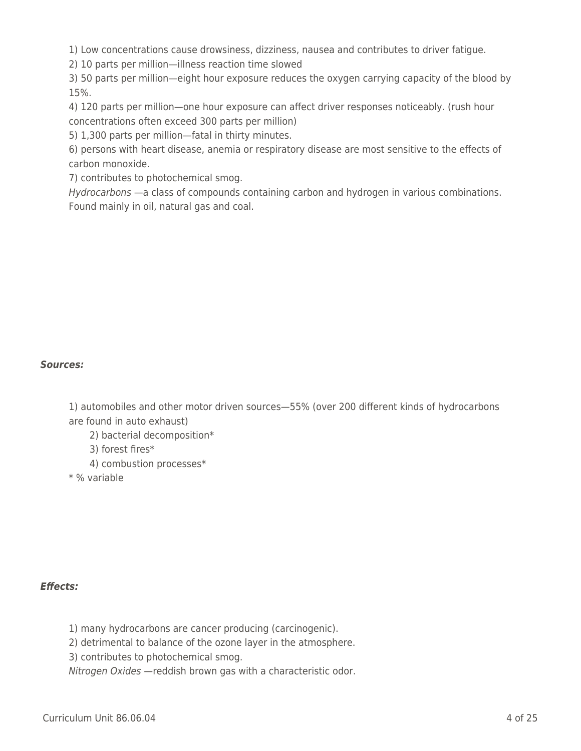1) Low concentrations cause drowsiness, dizziness, nausea and contributes to driver fatigue.

2) 10 parts per million—illness reaction time slowed

3) 50 parts per million—eight hour exposure reduces the oxygen carrying capacity of the blood by 15%.

4) 120 parts per million—one hour exposure can affect driver responses noticeably. (rush hour concentrations often exceed 300 parts per million)

5) 1,300 parts per million—fatal in thirty minutes.

6) persons with heart disease, anemia or respiratory disease are most sensitive to the effects of carbon monoxide.

7) contributes to photochemical smog.

Hydrocarbons —a class of compounds containing carbon and hydrogen in various combinations. Found mainly in oil, natural gas and coal.

#### *Sources:*

1) automobiles and other motor driven sources—55% (over 200 different kinds of hydrocarbons are found in auto exhaust)

2) bacterial decomposition\*

\_\_\_\_ 3) forest fires\*

4) combustion processes\*

\* % variable

### *Effects:*

1) many hydrocarbons are cancer producing (carcinogenic).

2) detrimental to balance of the ozone layer in the atmosphere.

3) contributes to photochemical smog.

Nitrogen Oxides —reddish brown gas with a characteristic odor.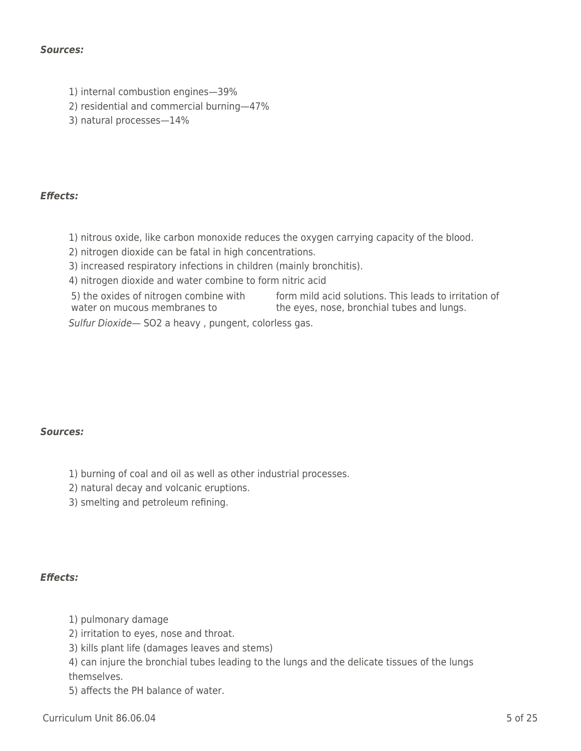#### *Sources:*

- 1) internal combustion engines—39%
- 2) residential and commercial burning—47%
- 3) natural processes—14%

### *Effects:*

- 1) nitrous oxide, like carbon monoxide reduces the oxygen carrying capacity of the blood.
- 2) nitrogen dioxide can be fatal in high concentrations.
- 3) increased respiratory infections in children (mainly bronchitis).
- 4) nitrogen dioxide and water combine to form nitric acid

5) the oxides of nitrogen combine with form mild acid solutions. This leads to irritation of

water on mucous membranes to the eyes, nose, bronchial tubes and lungs.

Sulfur Dioxide— SO2 a heavy , pungent, colorless gas.

### *Sources:*

- 1) burning of coal and oil as well as other industrial processes.
- 2) natural decay and volcanic eruptions.
- 3) smelting and petroleum refining.

### *Effects:*

- 1) pulmonary damage
- 2) irritation to eyes, nose and throat.
- 3) kills plant life (damages leaves and stems)
- 4) can injure the bronchial tubes leading to the lungs and the delicate tissues of the lungs themselves.
- 5) affects the PH balance of water.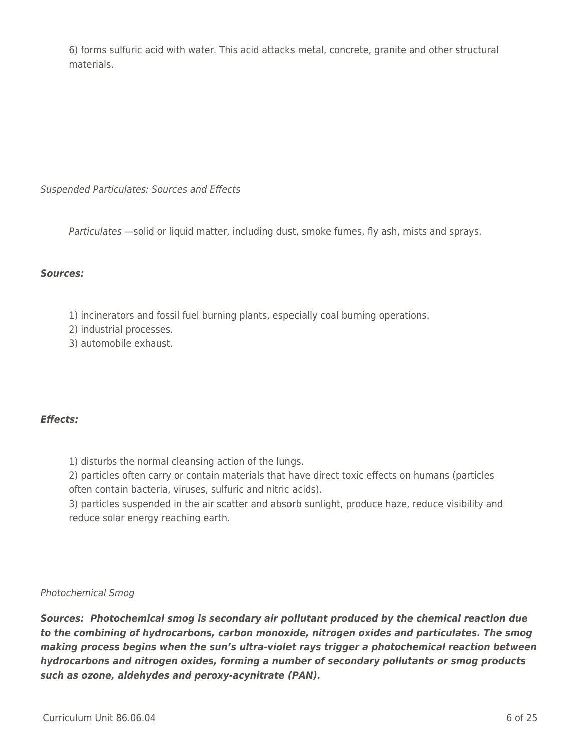6) forms sulfuric acid with water. This acid attacks metal, concrete, granite and other structural materials.

Suspended Particulates: Sources and Effects

Particulates —solid or liquid matter, including dust, smoke fumes, fly ash, mists and sprays.

### *Sources:*

1) incinerators and fossil fuel burning plants, especially coal burning operations.

2) industrial processes.

3) automobile exhaust.

## *Effects:*

1) disturbs the normal cleansing action of the lungs.

2) particles often carry or contain materials that have direct toxic effects on humans (particles often contain bacteria, viruses, sulfuric and nitric acids).

3) particles suspended in the air scatter and absorb sunlight, produce haze, reduce visibility and reduce solar energy reaching earth.

### Photochemical Smog

*Sources: Photochemical smog is secondary air pollutant produced by the chemical reaction due to the combining of hydrocarbons, carbon monoxide, nitrogen oxides and particulates. The smog making process begins when the sun's ultra-violet rays trigger a photochemical reaction between hydrocarbons and nitrogen oxides, forming a number of secondary pollutants or smog products such as ozone, aldehydes and peroxy-acynitrate (PAN).*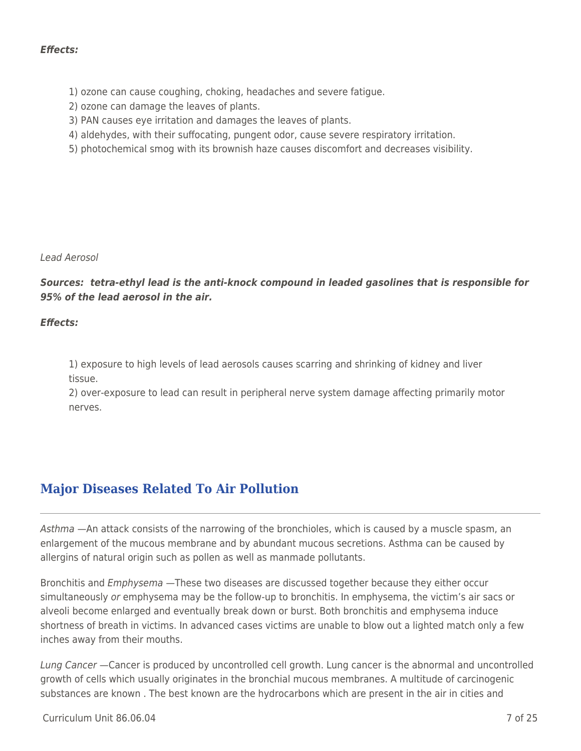### *Effects:*

- 1) ozone can cause coughing, choking, headaches and severe fatigue.
- 2) ozone can damage the leaves of plants.
- 3) PAN causes eye irritation and damages the leaves of plants.
- 4) aldehydes, with their suffocating, pungent odor, cause severe respiratory irritation.
- 5) photochemical smog with its brownish haze causes discomfort and decreases visibility.

Lead Aerosol

*Sources: tetra-ethyl lead is the anti-knock compound in leaded gasolines that is responsible for 95% of the lead aerosol in the air.*

*Effects:*

1) exposure to high levels of lead aerosols causes scarring and shrinking of kidney and liver tissue.

2) over-exposure to lead can result in peripheral nerve system damage affecting primarily motor nerves.

## **Major Diseases Related To Air Pollution**

Asthma —An attack consists of the narrowing of the bronchioles, which is caused by a muscle spasm, an enlargement of the mucous membrane and by abundant mucous secretions. Asthma can be caused by allergins of natural origin such as pollen as well as manmade pollutants.

Bronchitis and *Emphysema* —These two diseases are discussed together because they either occur simultaneously or emphysema may be the follow-up to bronchitis. In emphysema, the victim's air sacs or alveoli become enlarged and eventually break down or burst. Both bronchitis and emphysema induce shortness of breath in victims. In advanced cases victims are unable to blow out a lighted match only a few inches away from their mouths.

Lung Cancer —Cancer is produced by uncontrolled cell growth. Lung cancer is the abnormal and uncontrolled growth of cells which usually originates in the bronchial mucous membranes. A multitude of carcinogenic substances are known . The best known are the hydrocarbons which are present in the air in cities and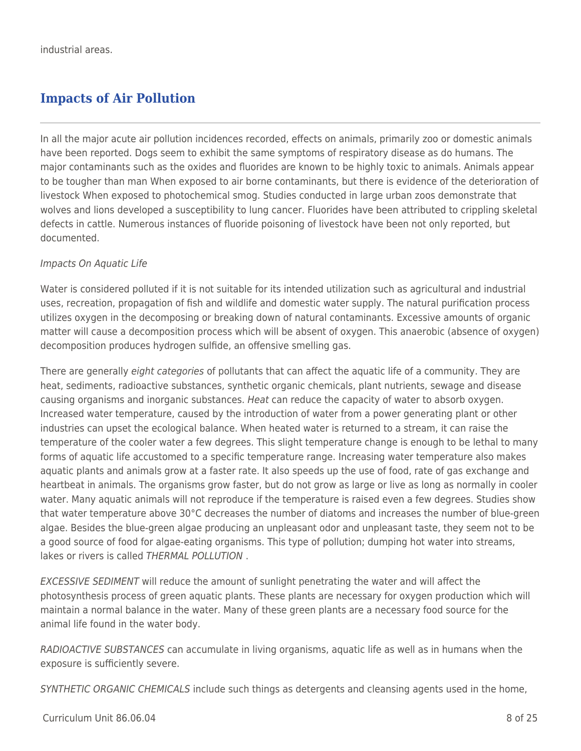# **Impacts of Air Pollution**

In all the major acute air pollution incidences recorded, effects on animals, primarily zoo or domestic animals have been reported. Dogs seem to exhibit the same symptoms of respiratory disease as do humans. The major contaminants such as the oxides and fluorides are known to be highly toxic to animals. Animals appear to be tougher than man When exposed to air borne contaminants, but there is evidence of the deterioration of livestock When exposed to photochemical smog. Studies conducted in large urban zoos demonstrate that wolves and lions developed a susceptibility to lung cancer. Fluorides have been attributed to crippling skeletal defects in cattle. Numerous instances of fluoride poisoning of livestock have been not only reported, but documented.

## Impacts On Aquatic Life

Water is considered polluted if it is not suitable for its intended utilization such as agricultural and industrial uses, recreation, propagation of fish and wildlife and domestic water supply. The natural purification process utilizes oxygen in the decomposing or breaking down of natural contaminants. Excessive amounts of organic matter will cause a decomposition process which will be absent of oxygen. This anaerobic (absence of oxygen) decomposition produces hydrogen sulfide, an offensive smelling gas.

There are generally eight categories of pollutants that can affect the aquatic life of a community. They are heat, sediments, radioactive substances, synthetic organic chemicals, plant nutrients, sewage and disease causing organisms and inorganic substances. Heat can reduce the capacity of water to absorb oxygen. Increased water temperature, caused by the introduction of water from a power generating plant or other industries can upset the ecological balance. When heated water is returned to a stream, it can raise the temperature of the cooler water a few degrees. This slight temperature change is enough to be lethal to many forms of aquatic life accustomed to a specific temperature range. Increasing water temperature also makes aquatic plants and animals grow at a faster rate. It also speeds up the use of food, rate of gas exchange and heartbeat in animals. The organisms grow faster, but do not grow as large or live as long as normally in cooler water. Many aquatic animals will not reproduce if the temperature is raised even a few degrees. Studies show that water temperature above 30°C decreases the number of diatoms and increases the number of blue-green algae. Besides the blue-green algae producing an unpleasant odor and unpleasant taste, they seem not to be a good source of food for algae-eating organisms. This type of pollution; dumping hot water into streams, lakes or rivers is called THERMAL POLLUTION .

EXCESSIVE SEDIMENT will reduce the amount of sunlight penetrating the water and will affect the photosynthesis process of green aquatic plants. These plants are necessary for oxygen production which will maintain a normal balance in the water. Many of these green plants are a necessary food source for the animal life found in the water body.

RADIOACTIVE SUBSTANCES can accumulate in living organisms, aquatic life as well as in humans when the exposure is sufficiently severe.

SYNTHETIC ORGANIC CHEMICALS include such things as detergents and cleansing agents used in the home,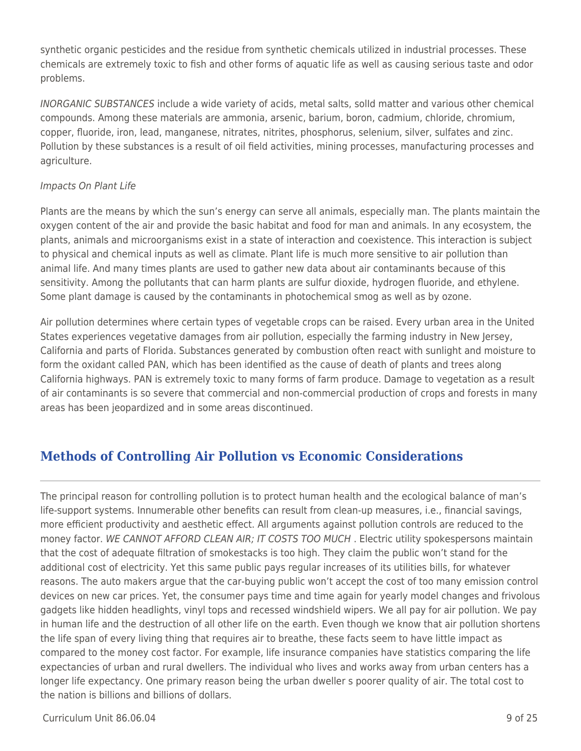synthetic organic pesticides and the residue from synthetic chemicals utilized in industrial processes. These chemicals are extremely toxic to fish and other forms of aquatic life as well as causing serious taste and odor problems.

INORGANIC SUBSTANCES include a wide variety of acids, metal salts, solId matter and various other chemical compounds. Among these materials are ammonia, arsenic, barium, boron, cadmium, chloride, chromium, copper, fluoride, iron, lead, manganese, nitrates, nitrites, phosphorus, selenium, silver, sulfates and zinc. Pollution by these substances is a result of oil field activities, mining processes, manufacturing processes and agriculture.

### Impacts On Plant Life

Plants are the means by which the sun's energy can serve all animals, especially man. The plants maintain the oxygen content of the air and provide the basic habitat and food for man and animals. In any ecosystem, the plants, animals and microorganisms exist in a state of interaction and coexistence. This interaction is subject to physical and chemical inputs as well as climate. Plant life is much more sensitive to air pollution than animal life. And many times plants are used to gather new data about air contaminants because of this sensitivity. Among the pollutants that can harm plants are sulfur dioxide, hydrogen fluoride, and ethylene. Some plant damage is caused by the contaminants in photochemical smog as well as by ozone.

Air pollution determines where certain types of vegetable crops can be raised. Every urban area in the United States experiences vegetative damages from air pollution, especially the farming industry in New Jersey, California and parts of Florida. Substances generated by combustion often react with sunlight and moisture to form the oxidant called PAN, which has been identified as the cause of death of plants and trees along California highways. PAN is extremely toxic to many forms of farm produce. Damage to vegetation as a result of air contaminants is so severe that commercial and non-commercial production of crops and forests in many areas has been jeopardized and in some areas discontinued.

## **Methods of Controlling Air Pollution vs Economic Considerations**

The principal reason for controlling pollution is to protect human health and the ecological balance of man's life-support systems. Innumerable other benefits can result from clean-up measures, i.e., financial savings, more efficient productivity and aesthetic effect. All arguments against pollution controls are reduced to the money factor. WE CANNOT AFFORD CLEAN AIR; IT COSTS TOO MUCH. Electric utility spokespersons maintain that the cost of adequate filtration of smokestacks is too high. They claim the public won't stand for the additional cost of electricity. Yet this same public pays regular increases of its utilities bills, for whatever reasons. The auto makers argue that the car-buying public won't accept the cost of too many emission control devices on new car prices. Yet, the consumer pays time and time again for yearly model changes and frivolous gadgets like hidden headlights, vinyl tops and recessed windshield wipers. We all pay for air pollution. We pay in human life and the destruction of all other life on the earth. Even though we know that air pollution shortens the life span of every living thing that requires air to breathe, these facts seem to have little impact as compared to the money cost factor. For example, life insurance companies have statistics comparing the life expectancies of urban and rural dwellers. The individual who lives and works away from urban centers has a longer life expectancy. One primary reason being the urban dweller s poorer quality of air. The total cost to the nation is billions and billions of dollars.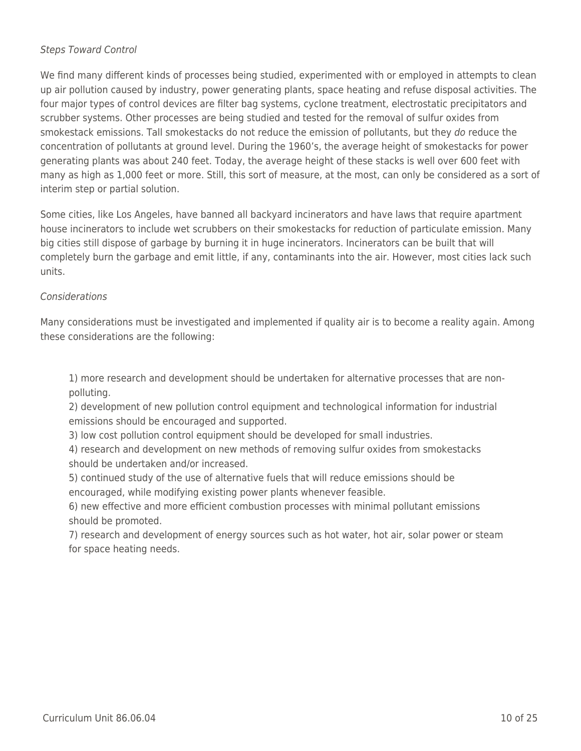## Steps Toward Control

We find many different kinds of processes being studied, experimented with or employed in attempts to clean up air pollution caused by industry, power generating plants, space heating and refuse disposal activities. The four major types of control devices are filter bag systems, cyclone treatment, electrostatic precipitators and scrubber systems. Other processes are being studied and tested for the removal of sulfur oxides from smokestack emissions. Tall smokestacks do not reduce the emission of pollutants, but they do reduce the concentration of pollutants at ground level. During the 1960's, the average height of smokestacks for power generating plants was about 240 feet. Today, the average height of these stacks is well over 600 feet with many as high as 1,000 feet or more. Still, this sort of measure, at the most, can only be considered as a sort of interim step or partial solution.

Some cities, like Los Angeles, have banned all backyard incinerators and have laws that require apartment house incinerators to include wet scrubbers on their smokestacks for reduction of particulate emission. Many big cities still dispose of garbage by burning it in huge incinerators. Incinerators can be built that will completely burn the garbage and emit little, if any, contaminants into the air. However, most cities lack such units.

### Considerations

Many considerations must be investigated and implemented if quality air is to become a reality again. Among these considerations are the following:

1) more research and development should be undertaken for alternative processes that are nonpolluting.

2) development of new pollution control equipment and technological information for industrial emissions should be encouraged and supported.

3) low cost pollution control equipment should be developed for small industries.

4) research and development on new methods of removing sulfur oxides from smokestacks should be undertaken and/or increased.

5) continued study of the use of alternative fuels that will reduce emissions should be encouraged, while modifying existing power plants whenever feasible.

6) new effective and more efficient combustion processes with minimal pollutant emissions should be promoted.

7) research and development of energy sources such as hot water, hot air, solar power or steam for space heating needs.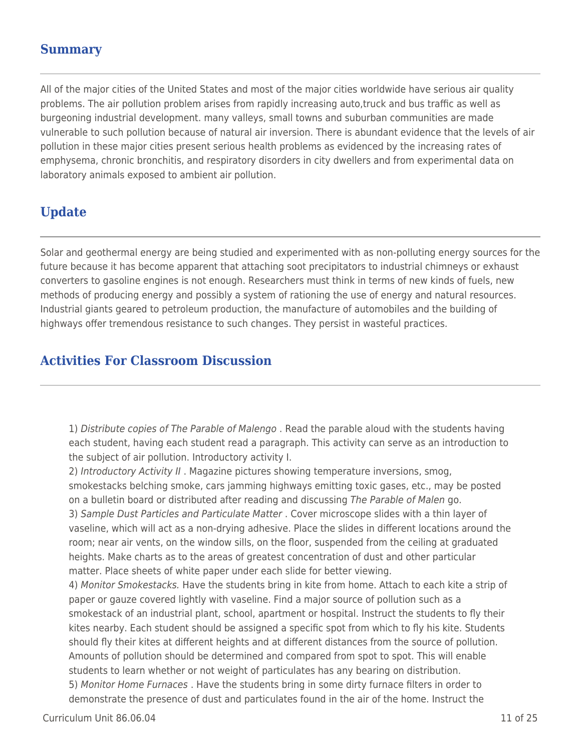## **Summary**

All of the major cities of the United States and most of the major cities worldwide have serious air quality problems. The air pollution problem arises from rapidly increasing auto,truck and bus traffic as well as burgeoning industrial development. many valleys, small towns and suburban communities are made vulnerable to such pollution because of natural air inversion. There is abundant evidence that the levels of air pollution in these major cities present serious health problems as evidenced by the increasing rates of emphysema, chronic bronchitis, and respiratory disorders in city dwellers and from experimental data on laboratory animals exposed to ambient air pollution.

# **Update**

Solar and geothermal energy are being studied and experimented with as non-polluting energy sources for the future because it has become apparent that attaching soot precipitators to industrial chimneys or exhaust converters to gasoline engines is not enough. Researchers must think in terms of new kinds of fuels, new methods of producing energy and possibly a system of rationing the use of energy and natural resources. Industrial giants geared to petroleum production, the manufacture of automobiles and the building of highways offer tremendous resistance to such changes. They persist in wasteful practices.

## **Activities For Classroom Discussion**

1) Distribute copies of The Parable of Malengo . Read the parable aloud with the students having each student, having each student read a paragraph. This activity can serve as an introduction to the subject of air pollution. Introductory activity I.

2) Introductory Activity II . Magazine pictures showing temperature inversions, smog, smokestacks belching smoke, cars jamming highways emitting toxic gases, etc., may be posted on a bulletin board or distributed after reading and discussing The Parable of Malen go. 3) Sample Dust Particles and Particulate Matter . Cover microscope slides with a thin layer of vaseline, which will act as a non-drying adhesive. Place the slides in different locations around the room; near air vents, on the window sills, on the floor, suspended from the ceiling at graduated heights. Make charts as to the areas of greatest concentration of dust and other particular matter. Place sheets of white paper under each slide for better viewing.

4) Monitor Smokestacks. Have the students bring in kite from home. Attach to each kite a strip of paper or gauze covered lightly with vaseline. Find a major source of pollution such as a smokestack of an industrial plant, school, apartment or hospital. Instruct the students to fly their kites nearby. Each student should be assigned a specific spot from which to fly his kite. Students should fly their kites at different heights and at different distances from the source of pollution. Amounts of pollution should be determined and compared from spot to spot. This will enable students to learn whether or not weight of particulates has any bearing on distribution. 5) Monitor Home Furnaces . Have the students bring in some dirty furnace filters in order to demonstrate the presence of dust and particulates found in the air of the home. Instruct the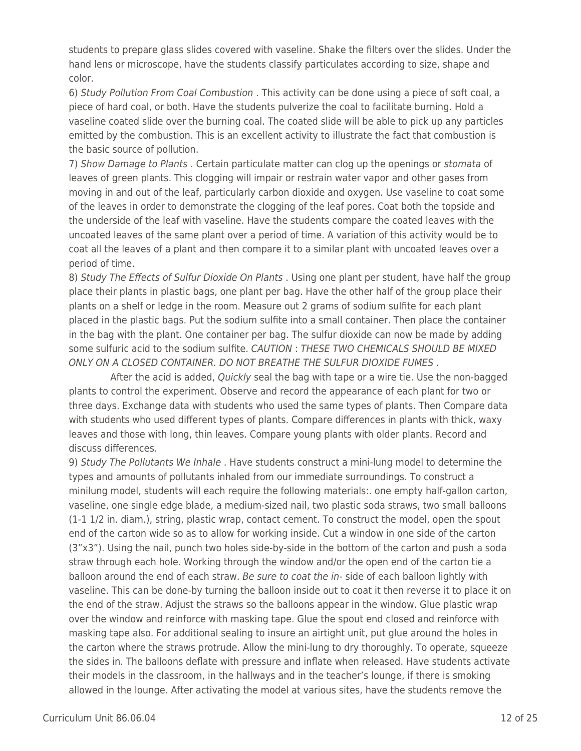students to prepare glass slides covered with vaseline. Shake the filters over the slides. Under the hand lens or microscope, have the students classify particulates according to size, shape and color.

6) Study Pollution From Coal Combustion . This activity can be done using a piece of soft coal, a piece of hard coal, or both. Have the students pulverize the coal to facilitate burning. Hold a vaseline coated slide over the burning coal. The coated slide will be able to pick up any particles emitted by the combustion. This is an excellent activity to illustrate the fact that combustion is the basic source of pollution.

7) Show Damage to Plants . Certain particulate matter can clog up the openings or stomata of leaves of green plants. This clogging will impair or restrain water vapor and other gases from moving in and out of the leaf, particularly carbon dioxide and oxygen. Use vaseline to coat some of the leaves in order to demonstrate the clogging of the leaf pores. Coat both the topside and the underside of the leaf with vaseline. Have the students compare the coated leaves with the uncoated leaves of the same plant over a period of time. A variation of this activity would be to coat all the leaves of a plant and then compare it to a similar plant with uncoated leaves over a period of time.

8) Study The Effects of Sulfur Dioxide On Plants . Using one plant per student, have half the group place their plants in plastic bags, one plant per bag. Have the other half of the group place their plants on a shelf or ledge in the room. Measure out 2 grams of sodium sulfite for each plant placed in the plastic bags. Put the sodium sulfite into a small container. Then place the container in the bag with the plant. One container per bag. The sulfur dioxide can now be made by adding some sulfuric acid to the sodium sulfite. CAUTION : THESE TWO CHEMICALS SHOULD BE MIXED ONLY ON A CLOSED CONTAINER. DO NOT BREATHE THE SULFUR DIOXIDE FUMES .

After the acid is added, *Quickly* seal the bag with tape or a wire tie. Use the non-bagged plants to control the experiment. Observe and record the appearance of each plant for two or three days. Exchange data with students who used the same types of plants. Then Compare data with students who used different types of plants. Compare differences in plants with thick, waxy leaves and those with long, thin leaves. Compare young plants with older plants. Record and discuss differences.

9) Study The Pollutants We Inhale . Have students construct a mini-lung model to determine the types and amounts of pollutants inhaled from our immediate surroundings. To construct a minilung model, students will each require the following materials:. one empty half-gallon carton, vaseline, one single edge blade, a medium-sized nail, two plastic soda straws, two small balloons (1-1 1/2 in. diam.), string, plastic wrap, contact cement. To construct the model, open the spout end of the carton wide so as to allow for working inside. Cut a window in one side of the carton (3"x3"). Using the nail, punch two holes side-by-side in the bottom of the carton and push a soda straw through each hole. Working through the window and/or the open end of the carton tie a balloon around the end of each straw. Be sure to coat the in- side of each balloon lightly with vaseline. This can be done-by turning the balloon inside out to coat it then reverse it to place it on the end of the straw. Adjust the straws so the balloons appear in the window. Glue plastic wrap over the window and reinforce with masking tape. Glue the spout end closed and reinforce with masking tape also. For additional sealing to insure an airtight unit, put glue around the holes in the carton where the straws protrude. Allow the mini-lung to dry thoroughly. To operate, squeeze the sides in. The balloons deflate with pressure and inflate when released. Have students activate their models in the classroom, in the hallways and in the teacher's lounge, if there is smoking allowed in the lounge. After activating the model at various sites, have the students remove the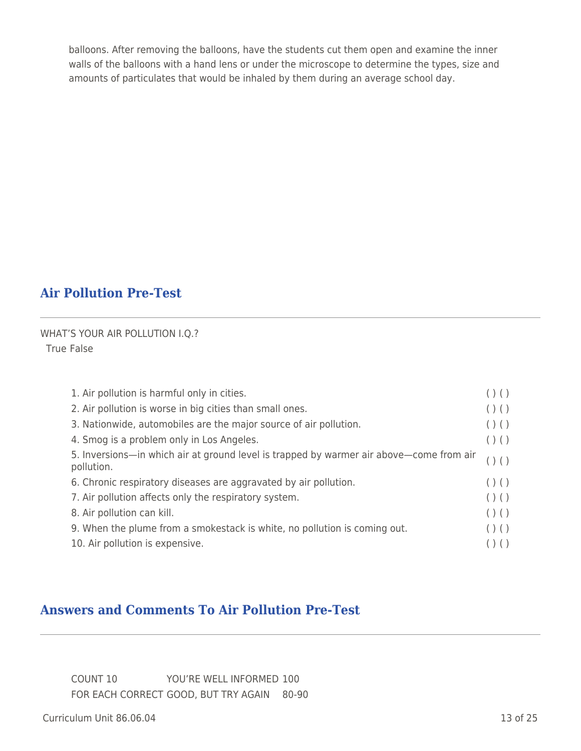balloons. After removing the balloons, have the students cut them open and examine the inner walls of the balloons with a hand lens or under the microscope to determine the types, size and amounts of particulates that would be inhaled by them during an average school day.

## **Air Pollution Pre-Test**

# WHAT'S YOUR AIR POLLUTION I.Q.?

True False

| 1. Air pollution is harmful only in cities.                                                           | ()()    |
|-------------------------------------------------------------------------------------------------------|---------|
| 2. Air pollution is worse in big cities than small ones.                                              | ()()    |
| 3. Nationwide, automobiles are the major source of air pollution.                                     | ()()    |
| 4. Smog is a problem only in Los Angeles.                                                             | ()()    |
| 5. Inversions-in which air at ground level is trapped by warmer air above-come from air<br>pollution. |         |
| 6. Chronic respiratory diseases are aggravated by air pollution.                                      | ()()    |
| 7. Air pollution affects only the respiratory system.                                                 | ()()    |
| 8. Air pollution can kill.                                                                            | ()()    |
| 9. When the plume from a smokestack is white, no pollution is coming out.                             | ()()    |
| 10. Air pollution is expensive.                                                                       | ( ) ( ) |
|                                                                                                       |         |

## **Answers and Comments To Air Pollution Pre-Test**

COUNT 10 YOU'RE WELL INFORMED 100 FOR EACH CORRECT GOOD, BUT TRY AGAIN 80-90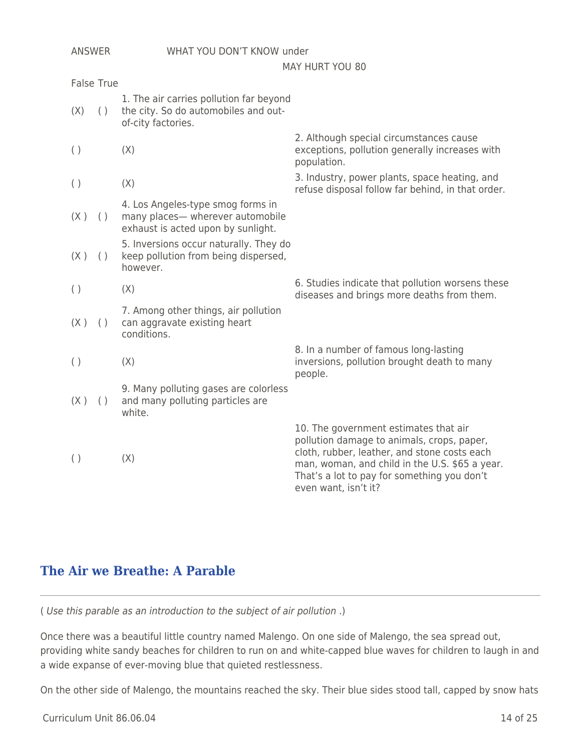| <b>ANSWER</b> | WHAT YOU DON'T KNOW under                                                                                   |                                                                                                                                                                                                                                                              |  |
|---------------|-------------------------------------------------------------------------------------------------------------|--------------------------------------------------------------------------------------------------------------------------------------------------------------------------------------------------------------------------------------------------------------|--|
|               |                                                                                                             | <b>MAY HURT YOU 80</b>                                                                                                                                                                                                                                       |  |
|               | <b>False True</b>                                                                                           |                                                                                                                                                                                                                                                              |  |
| ( )<br>(X)    | 1. The air carries pollution far beyond<br>the city. So do automobiles and out-<br>of-city factories.       |                                                                                                                                                                                                                                                              |  |
| ( )           | (X)                                                                                                         | 2. Although special circumstances cause<br>exceptions, pollution generally increases with<br>population.                                                                                                                                                     |  |
| ( )           | (X)                                                                                                         | 3. Industry, power plants, space heating, and<br>refuse disposal follow far behind, in that order.                                                                                                                                                           |  |
| ( )<br>(X)    | 4. Los Angeles-type smog forms in<br>many places- wherever automobile<br>exhaust is acted upon by sunlight. |                                                                                                                                                                                                                                                              |  |
| ( )<br>(X)    | 5. Inversions occur naturally. They do<br>keep pollution from being dispersed,<br>however.                  |                                                                                                                                                                                                                                                              |  |
| ( )           | (X)                                                                                                         | 6. Studies indicate that pollution worsens these<br>diseases and brings more deaths from them.                                                                                                                                                               |  |
| (X)<br>( )    | 7. Among other things, air pollution<br>can aggravate existing heart<br>conditions.                         |                                                                                                                                                                                                                                                              |  |
| ( )           | (X)                                                                                                         | 8. In a number of famous long-lasting<br>inversions, pollution brought death to many<br>people.                                                                                                                                                              |  |
| ( )<br>(X)    | 9. Many polluting gases are colorless<br>and many polluting particles are<br>white.                         |                                                                                                                                                                                                                                                              |  |
| ( )           | (X)                                                                                                         | 10. The government estimates that air<br>pollution damage to animals, crops, paper,<br>cloth, rubber, leather, and stone costs each<br>man, woman, and child in the U.S. \$65 a year.<br>That's a lot to pay for something you don't<br>even want, isn't it? |  |

## **The Air we Breathe: A Parable**

( Use this parable as an introduction to the subject of air pollution .)

Once there was a beautiful little country named Malengo. On one side of Malengo, the sea spread out, providing white sandy beaches for children to run on and white-capped blue waves for children to laugh in and a wide expanse of ever-moving blue that quieted restlessness.

On the other side of Malengo, the mountains reached the sky. Their blue sides stood tall, capped by snow hats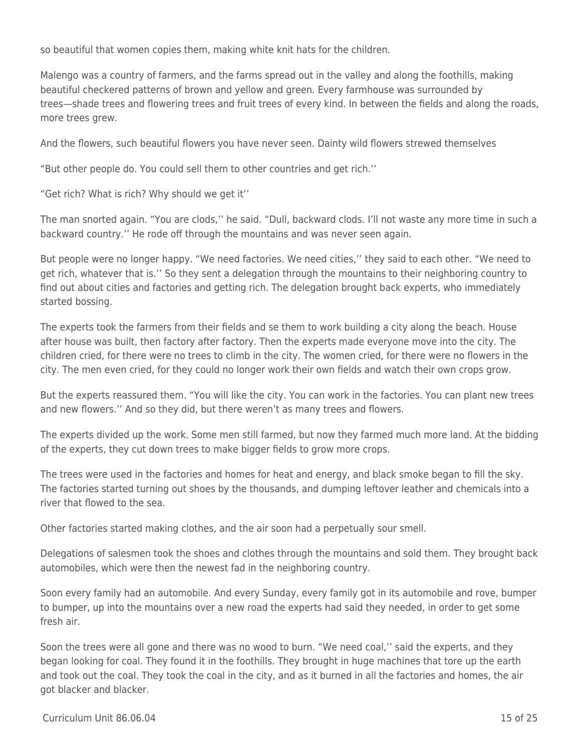so beautiful that women copies them, making white knit hats for the children.

Malengo was a country of farmers, and the farms spread out in the valley and along the foothills, making beautiful checkered patterns of brown and yellow and green. Every farmhouse was surrounded by trees—shade trees and flowering trees and fruit trees of every kind. In between the fields and along the roads, more trees grew.

And the flowers, such beautiful flowers you have never seen. Dainty wild flowers strewed themselves

"But other people do. You could sell them to other countries and get rich.''

"Get rich? What is rich? Why should we get it''

The man snorted again. "You are clods,'' he said. "Dull, backward clods. I'll not waste any more time in such a backward country.'' He rode off through the mountains and was never seen again.

But people were no longer happy. "We need factories. We need cities,'' they said to each other. "We need to get rich, whatever that is.'' So they sent a delegation through the mountains to their neighboring country to find out about cities and factories and getting rich. The delegation brought back experts, who immediately started bossing.

The experts took the farmers from their fields and se them to work building a city along the beach. House after house was built, then factory after factory. Then the experts made everyone move into the city. The children cried, for there were no trees to climb in the city. The women cried, for there were no flowers in the city. The men even cried, for they could no longer work their own fields and watch their own crops grow.

But the experts reassured them. "You will like the city. You can work in the factories. You can plant new trees and new flowers.'' And so they did, but there weren't as many trees and flowers.

The experts divided up the work. Some men still farmed, but now they farmed much more land. At the bidding of the experts, they cut down trees to make bigger fields to grow more crops.

The trees were used in the factories and homes for heat and energy, and black smoke began to fill the sky. The factories started turning out shoes by the thousands, and dumping leftover leather and chemicals into a river that flowed to the sea.

Other factories started making clothes, and the air soon had a perpetually sour smell.

Delegations of salesmen took the shoes and clothes through the mountains and sold them. They brought back automobiles, which were then the newest fad in the neighboring country.

Soon every family had an automobile. And every Sunday, every family got in its automobile and rove, bumper to bumper, up into the mountains over a new road the experts had said they needed, in order to get some fresh air.

Soon the trees were all gone and there was no wood to burn. "We need coal,'' said the experts, and they began looking for coal. They found it in the foothills. They brought in huge machines that tore up the earth and took out the coal. They took the coal in the city, and as it burned in all the factories and homes, the air got blacker and blacker.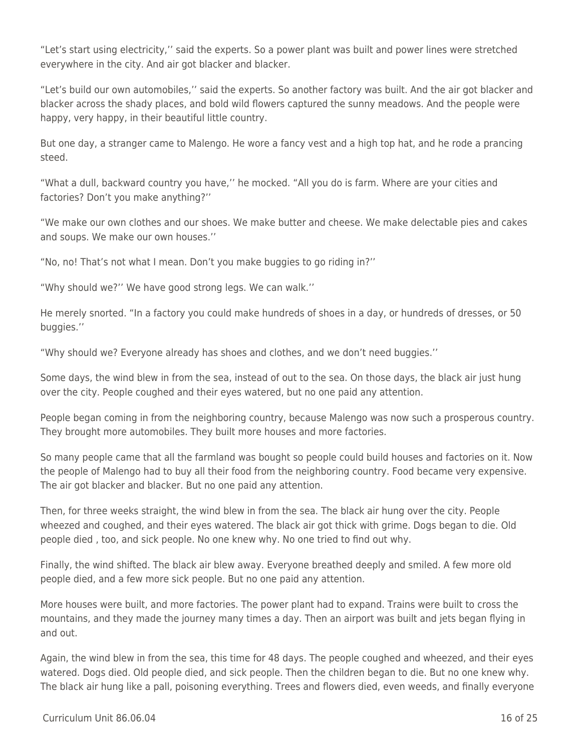"Let's start using electricity,'' said the experts. So a power plant was built and power lines were stretched everywhere in the city. And air got blacker and blacker.

"Let's build our own automobiles,'' said the experts. So another factory was built. And the air got blacker and blacker across the shady places, and bold wild flowers captured the sunny meadows. And the people were happy, very happy, in their beautiful little country.

But one day, a stranger came to Malengo. He wore a fancy vest and a high top hat, and he rode a prancing steed.

"What a dull, backward country you have,'' he mocked. "All you do is farm. Where are your cities and factories? Don't you make anything?''

"We make our own clothes and our shoes. We make butter and cheese. We make delectable pies and cakes and soups. We make our own houses.''

"No, no! That's not what I mean. Don't you make buggies to go riding in?''

"Why should we?'' We have good strong legs. We can walk.''

He merely snorted. "In a factory you could make hundreds of shoes in a day, or hundreds of dresses, or 50 buggies.''

"Why should we? Everyone already has shoes and clothes, and we don't need buggies.''

Some days, the wind blew in from the sea, instead of out to the sea. On those days, the black air just hung over the city. People coughed and their eyes watered, but no one paid any attention.

People began coming in from the neighboring country, because Malengo was now such a prosperous country. They brought more automobiles. They built more houses and more factories.

So many people came that all the farmland was bought so people could build houses and factories on it. Now the people of Malengo had to buy all their food from the neighboring country. Food became very expensive. The air got blacker and blacker. But no one paid any attention.

Then, for three weeks straight, the wind blew in from the sea. The black air hung over the city. People wheezed and coughed, and their eyes watered. The black air got thick with grime. Dogs began to die. Old people died , too, and sick people. No one knew why. No one tried to find out why.

Finally, the wind shifted. The black air blew away. Everyone breathed deeply and smiled. A few more old people died, and a few more sick people. But no one paid any attention.

More houses were built, and more factories. The power plant had to expand. Trains were built to cross the mountains, and they made the journey many times a day. Then an airport was built and jets began flying in and out.

Again, the wind blew in from the sea, this time for 48 days. The people coughed and wheezed, and their eyes watered. Dogs died. Old people died, and sick people. Then the children began to die. But no one knew why. The black air hung like a pall, poisoning everything. Trees and flowers died, even weeds, and finally everyone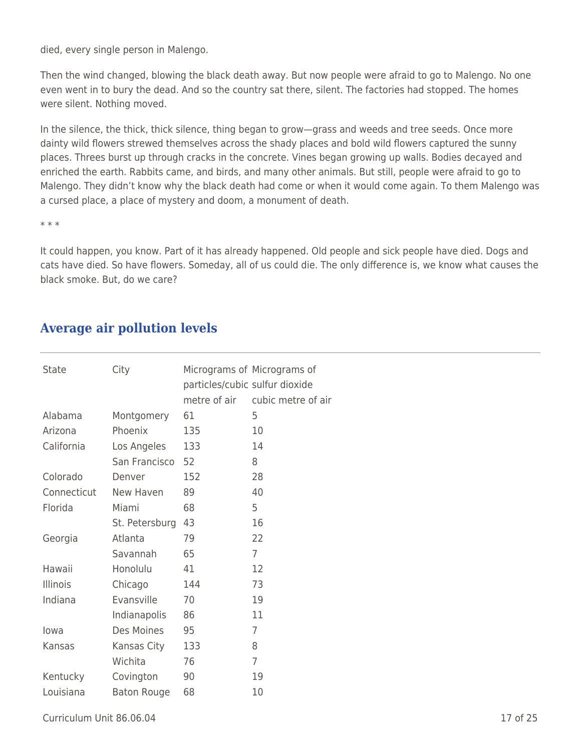died, every single person in Malengo.

Then the wind changed, blowing the black death away. But now people were afraid to go to Malengo. No one even went in to bury the dead. And so the country sat there, silent. The factories had stopped. The homes were silent. Nothing moved.

In the silence, the thick, thick silence, thing began to grow—grass and weeds and tree seeds. Once more dainty wild flowers strewed themselves across the shady places and bold wild flowers captured the sunny places. Threes burst up through cracks in the concrete. Vines began growing up walls. Bodies decayed and enriched the earth. Rabbits came, and birds, and many other animals. But still, people were afraid to go to Malengo. They didn't know why the black death had come or when it would come again. To them Malengo was a cursed place, a place of mystery and doom, a monument of death.

\* \* \*

It could happen, you know. Part of it has already happened. Old people and sick people have died. Dogs and cats have died. So have flowers. Someday, all of us could die. The only difference is, we know what causes the black smoke. But, do we care?

# **Average air pollution levels**

| State           | City               | particles/cubic sulfur dioxide<br>metre of air | Micrograms of Micrograms of<br>cubic metre of air |
|-----------------|--------------------|------------------------------------------------|---------------------------------------------------|
| Alabama         | Montgomery         | 61                                             | 5                                                 |
| Arizona         | Phoenix            | 135                                            | 10                                                |
| California      | Los Angeles        | 133                                            | 14                                                |
|                 | San Francisco      | 52                                             | 8                                                 |
| Colorado        | Denver             | 152                                            | 28                                                |
| Connecticut     | New Haven          | 89                                             | 40                                                |
| Florida         | Miami              | 68                                             | 5                                                 |
|                 | St. Petersburg     | 43                                             | 16                                                |
| Georgia         | Atlanta            | 79                                             | 22                                                |
|                 | Savannah           | 65                                             | 7                                                 |
| Hawaii          | Honolulu           | 41                                             | 12                                                |
| <b>Illinois</b> | Chicago            | 144                                            | 73                                                |
| Indiana         | Evansville         | 70                                             | 19                                                |
|                 | Indianapolis       | 86                                             | 11                                                |
| lowa            | Des Moines         | 95                                             | 7                                                 |
| Kansas          | Kansas City        | 133                                            | 8                                                 |
|                 | Wichita            | 76                                             | $\overline{7}$                                    |
| Kentucky        | Covington          | 90                                             | 19                                                |
| Louisiana       | <b>Baton Rouge</b> | 68                                             | 10                                                |
|                 |                    |                                                |                                                   |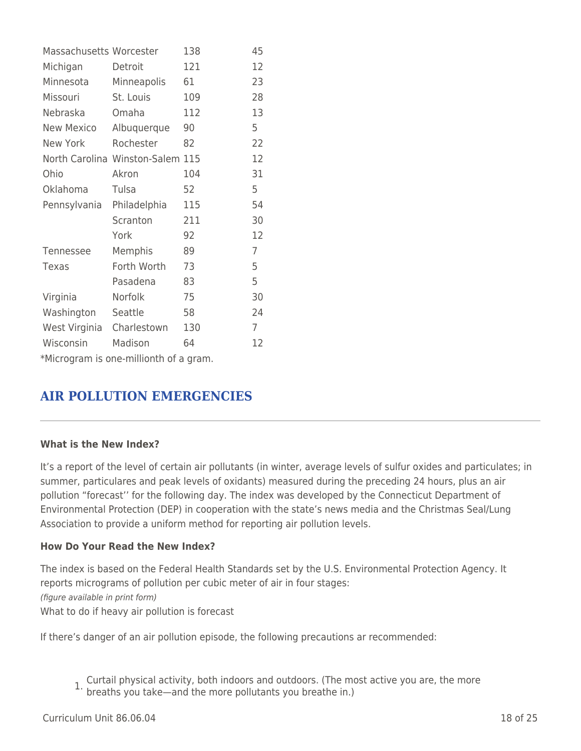| Massachusetts Worcester                |                                  | 138 | 45             |  |
|----------------------------------------|----------------------------------|-----|----------------|--|
| Michigan                               | Detroit                          | 121 | 12             |  |
| Minnesota                              | Minneapolis                      | 61  | 23             |  |
| Missouri                               | St. Louis                        | 109 | 28             |  |
| Nebraska                               | Omaha                            | 112 | 13             |  |
| New Mexico                             | Albuquerque                      | 90  | 5              |  |
| New York                               | Rochester                        | 82  | 22             |  |
|                                        | North Carolina Winston-Salem 115 |     | 12             |  |
| Ohio                                   | Akron                            | 104 | 31             |  |
| Oklahoma                               | Tulsa                            | 52  | 5              |  |
| Pennsylvania                           | Philadelphia                     | 115 | 54             |  |
|                                        | Scranton                         | 211 | 30             |  |
|                                        | York                             | 92  | 12             |  |
| Tennessee                              | <b>Memphis</b>                   | 89  | $\overline{7}$ |  |
| Texas                                  | Forth Worth                      | 73  | 5              |  |
|                                        | Pasadena                         | 83  | 5              |  |
| Virginia                               | Norfolk                          | 75  | 30             |  |
| Washington Seattle                     |                                  | 58  | 24             |  |
| West Virginia Charlestown              |                                  | 130 | $\overline{7}$ |  |
| Wisconsin                              | Madison                          | 64  | 12             |  |
| *Microgram is one-millionth of a gram. |                                  |     |                |  |

## **AIR POLLUTION EMERGENCIES**

### **What is the New Index?**

It's a report of the level of certain air pollutants (in winter, average levels of sulfur oxides and particulates; in summer, particulares and peak levels of oxidants) measured during the preceding 24 hours, plus an air pollution "forecast'' for the following day. The index was developed by the Connecticut Department of Environmental Protection (DEP) in cooperation with the state's news media and the Christmas Seal/Lung Association to provide a uniform method for reporting air pollution levels.

### **How Do Your Read the New Index?**

The index is based on the Federal Health Standards set by the U.S. Environmental Protection Agency. It reports micrograms of pollution per cubic meter of air in four stages: (figure available in print form) What to do if heavy air pollution is forecast

If there's danger of an air pollution episode, the following precautions ar recommended:

- 1. Curtail physical activity, both indoors and outdoors. (The most active you are, the more breaths you take—and the more pollutants you breathe in.)
- $Curir$  Unit 86.06.04 18 of 25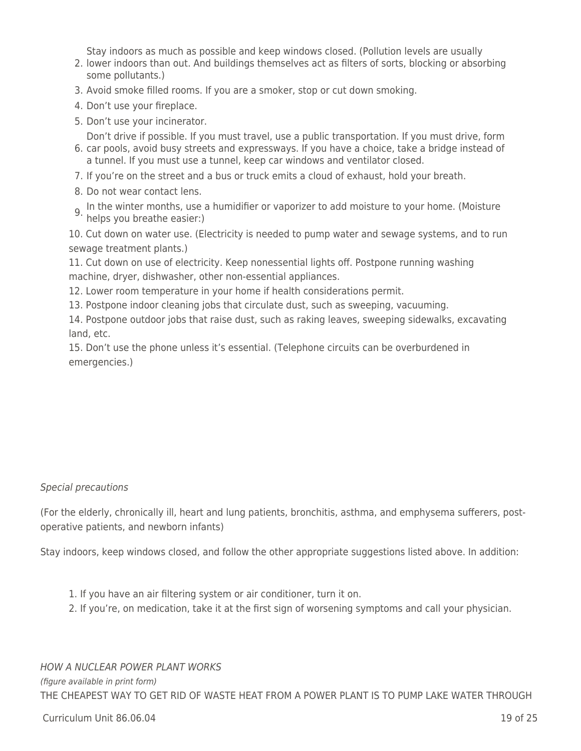Stay indoors as much as possible and keep windows closed. (Pollution levels are usually

- 2. lower indoors than out. And buildings themselves act as filters of sorts, blocking or absorbing some pollutants.)
- 3. Avoid smoke filled rooms. If you are a smoker, stop or cut down smoking.
- 4. Don't use your fireplace.
- 5. Don't use your incinerator.

Don't drive if possible. If you must travel, use a public transportation. If you must drive, form

- 6. car pools, avoid busy streets and expressways. If you have a choice, take a bridge instead of a tunnel. If you must use a tunnel, keep car windows and ventilator closed.
- 7. If you're on the street and a bus or truck emits a cloud of exhaust, hold your breath.
- 8. Do not wear contact lens.
- 9. In the winter months, use a humidifier or vaporizer to add moisture to your home. (Moisture helps you breathe easier:)

10. Cut down on water use. (Electricity is needed to pump water and sewage systems, and to run sewage treatment plants.)

11. Cut down on use of electricity. Keep nonessential lights off. Postpone running washing machine, dryer, dishwasher, other non-essential appliances.

12. Lower room temperature in your home if health considerations permit.

13. Postpone indoor cleaning jobs that circulate dust, such as sweeping, vacuuming.

14. Postpone outdoor jobs that raise dust, such as raking leaves, sweeping sidewalks, excavating land, etc.

15. Don't use the phone unless it's essential. (Telephone circuits can be overburdened in emergencies.)

### Special precautions

(For the elderly, chronically ill, heart and lung patients, bronchitis, asthma, and emphysema sufferers, postoperative patients, and newborn infants)

Stay indoors, keep windows closed, and follow the other appropriate suggestions listed above. In addition:

- 1. If you have an air filtering system or air conditioner, turn it on.
- 2. If you're, on medication, take it at the first sign of worsening symptoms and call your physician.

HOW A NUCLEAR POWER PLANT WORKS (figure available in print form) THE CHEAPEST WAY TO GET RID OF WASTE HEAT FROM A POWER PLANT IS TO PUMP LAKE WATER THROUGH

### $C$ urriculum Unit 86.06.04 19 of 25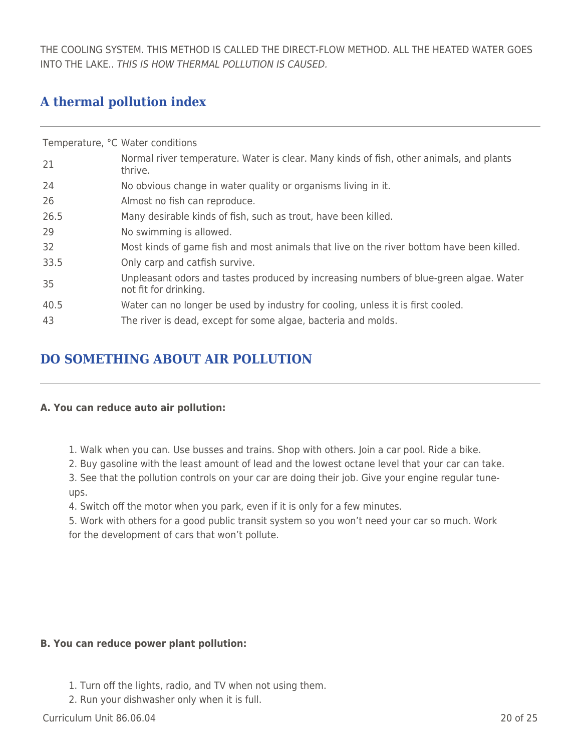THE COOLING SYSTEM. THIS METHOD IS CALLED THE DIRECT-FLOW METHOD. ALL THE HEATED WATER GOES INTO THE LAKE.. THIS IS HOW THERMAL POLLUTION IS CAUSED.

# **A thermal pollution index**

| Temperature, °C Water conditions |                                                                                                                |  |  |  |
|----------------------------------|----------------------------------------------------------------------------------------------------------------|--|--|--|
| 21                               | Normal river temperature. Water is clear. Many kinds of fish, other animals, and plants<br>thrive.             |  |  |  |
| 24                               | No obvious change in water quality or organisms living in it.                                                  |  |  |  |
| 26                               | Almost no fish can reproduce.                                                                                  |  |  |  |
| 26.5                             | Many desirable kinds of fish, such as trout, have been killed.                                                 |  |  |  |
| 29                               | No swimming is allowed.                                                                                        |  |  |  |
| 32                               | Most kinds of game fish and most animals that live on the river bottom have been killed.                       |  |  |  |
| 33.5                             | Only carp and catfish survive.                                                                                 |  |  |  |
| 35                               | Unpleasant odors and tastes produced by increasing numbers of blue-green algae. Water<br>not fit for drinking. |  |  |  |
| 40.5                             | Water can no longer be used by industry for cooling, unless it is first cooled.                                |  |  |  |
| 43                               | The river is dead, except for some algae, bacteria and molds.                                                  |  |  |  |

# **DO SOMETHING ABOUT AIR POLLUTION**

## **A. You can reduce auto air pollution:**

- 1. Walk when you can. Use busses and trains. Shop with others. Join a car pool. Ride a bike.
- 2. Buy gasoline with the least amount of lead and the lowest octane level that your car can take.

3. See that the pollution controls on your car are doing their job. Give your engine regular tuneups.

4. Switch off the motor when you park, even if it is only for a few minutes.

5. Work with others for a good public transit system so you won't need your car so much. Work for the development of cars that won't pollute.

## **B. You can reduce power plant pollution:**

- 1. Turn off the lights, radio, and TV when not using them.
- 2. Run your dishwasher only when it is full.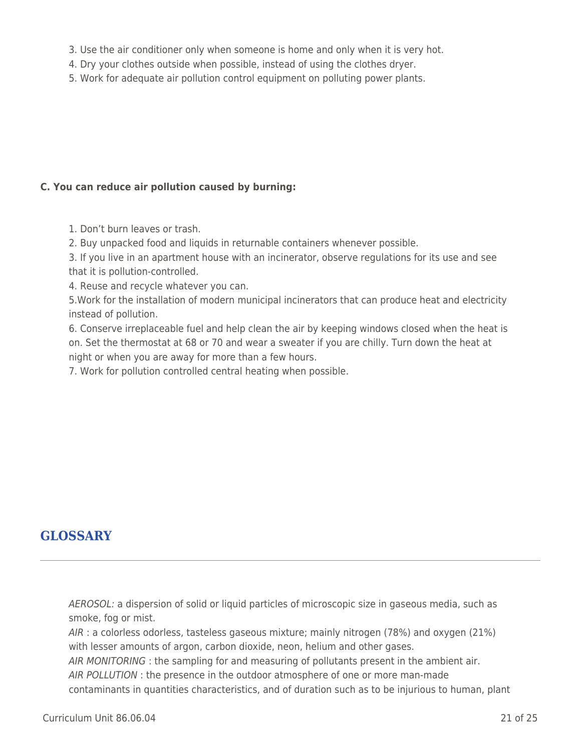- 3. Use the air conditioner only when someone is home and only when it is very hot.
- 4. Dry your clothes outside when possible, instead of using the clothes dryer.
- 5. Work for adequate air pollution control equipment on polluting power plants.

## **C. You can reduce air pollution caused by burning:**

- 1. Don't burn leaves or trash.
- 2. Buy unpacked food and liquids in returnable containers whenever possible.
- 3. If you live in an apartment house with an incinerator, observe regulations for its use and see that it is pollution-controlled.
- 4. Reuse and recycle whatever you can.
- 5.Work for the installation of modern municipal incinerators that can produce heat and electricity instead of pollution.
- 6. Conserve irreplaceable fuel and help clean the air by keeping windows closed when the heat is on. Set the thermostat at 68 or 70 and wear a sweater if you are chilly. Turn down the heat at night or when you are away for more than a few hours.
- 7. Work for pollution controlled central heating when possible.

# **GLOSSARY**

AEROSOL: a dispersion of solid or liquid particles of microscopic size in gaseous media, such as smoke, fog or mist.

AIR : a colorless odorless, tasteless gaseous mixture; mainly nitrogen (78%) and oxygen (21%) with lesser amounts of argon, carbon dioxide, neon, helium and other gases.

AIR MONITORING : the sampling for and measuring of pollutants present in the ambient air.

AIR POLLUTION : the presence in the outdoor atmosphere of one or more man-made

contaminants in quantities characteristics, and of duration such as to be injurious to human, plant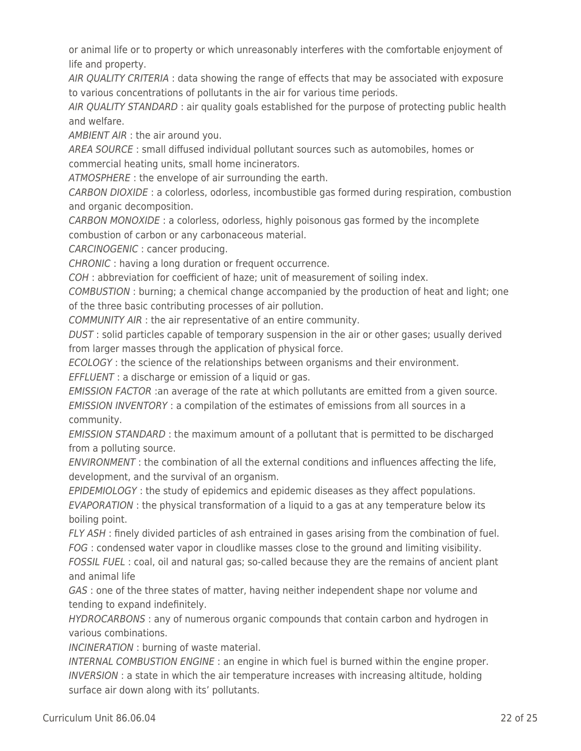or animal life or to property or which unreasonably interferes with the comfortable enjoyment of life and property.

AIR QUALITY CRITERIA : data showing the range of effects that may be associated with exposure to various concentrations of pollutants in the air for various time periods.

AIR QUALITY STANDARD : air quality goals established for the purpose of protecting public health and welfare.

AMBIENT AIR : the air around you.

AREA SOURCE : small diffused individual pollutant sources such as automobiles, homes or commercial heating units, small home incinerators.

ATMOSPHERE : the envelope of air surrounding the earth.

CARBON DIOXIDE : a colorless, odorless, incombustible gas formed during respiration, combustion and organic decomposition.

CARBON MONOXIDE : a colorless, odorless, highly poisonous gas formed by the incomplete combustion of carbon or any carbonaceous material.

CARCINOGENIC : cancer producing.

CHRONIC : having a long duration or frequent occurrence.

COH : abbreviation for coefficient of haze; unit of measurement of soiling index.

COMBUSTION : burning; a chemical change accompanied by the production of heat and light; one of the three basic contributing processes of air pollution.

COMMUNITY AIR : the air representative of an entire community.

DUST : solid particles capable of temporary suspension in the air or other gases; usually derived from larger masses through the application of physical force.

ECOLOGY : the science of the relationships between organisms and their environment.

EFFLUENT : a discharge or emission of a liquid or gas.

EMISSION FACTOR :an average of the rate at which pollutants are emitted from a given source. EMISSION INVENTORY : a compilation of the estimates of emissions from all sources in a community.

EMISSION STANDARD : the maximum amount of a pollutant that is permitted to be discharged from a polluting source.

ENVIRONMENT : the combination of all the external conditions and influences affecting the life, development, and the survival of an organism.

EPIDEMIOLOGY : the study of epidemics and epidemic diseases as they affect populations.

EVAPORATION : the physical transformation of a liquid to a gas at any temperature below its boiling point.

FLY ASH : finely divided particles of ash entrained in gases arising from the combination of fuel. FOG : condensed water vapor in cloudlike masses close to the ground and limiting visibility.

FOSSIL FUEL : coal, oil and natural gas; so-called because they are the remains of ancient plant and animal life

GAS : one of the three states of matter, having neither independent shape nor volume and tending to expand indefinitely.

HYDROCARBONS : any of numerous organic compounds that contain carbon and hydrogen in various combinations.

INCINERATION : burning of waste material.

INTERNAL COMBUSTION ENGINE : an engine in which fuel is burned within the engine proper. INVERSION : a state in which the air temperature increases with increasing altitude, holding surface air down along with its' pollutants.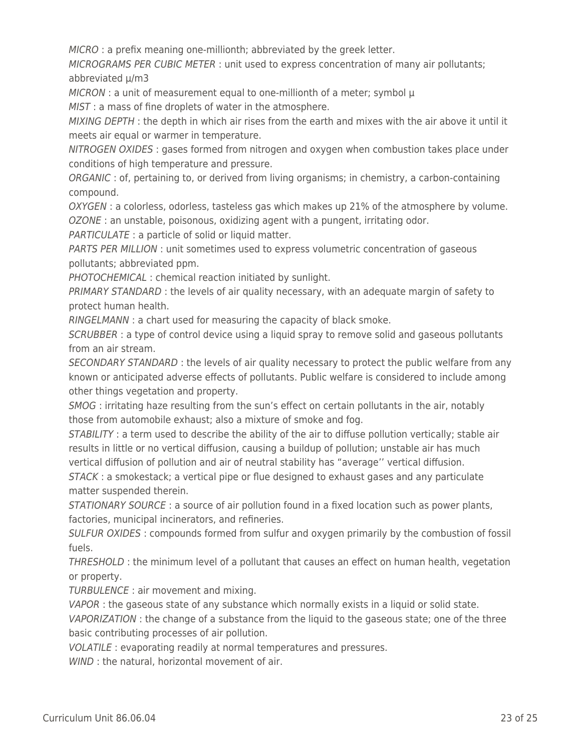MICRO : a prefix meaning one-millionth; abbreviated by the greek letter.

MICROGRAMS PER CUBIC METER : unit used to express concentration of many air pollutants; abbreviated µ/m3

 $MICRON: a unit of measurement equal to one-millionth of a meter; symbol  $\mu$$ 

MIST : a mass of fine droplets of water in the atmosphere.

MIXING DEPTH : the depth in which air rises from the earth and mixes with the air above it until it meets air equal or warmer in temperature.

NITROGEN OXIDES : gases formed from nitrogen and oxygen when combustion takes place under conditions of high temperature and pressure.

ORGANIC : of, pertaining to, or derived from living organisms; in chemistry, a carbon-containing compound.

OXYGEN : a colorless, odorless, tasteless gas which makes up 21% of the atmosphere by volume. OZONE : an unstable, poisonous, oxidizing agent with a pungent, irritating odor.

PARTICULATE : a particle of solid or liquid matter.

PARTS PER MILLION : unit sometimes used to express volumetric concentration of gaseous pollutants; abbreviated ppm.

PHOTOCHEMICAL : chemical reaction initiated by sunlight.

PRIMARY STANDARD : the levels of air quality necessary, with an adequate margin of safety to protect human health.

RINGELMANN : a chart used for measuring the capacity of black smoke.

SCRUBBER : a type of control device using a liquid spray to remove solid and gaseous pollutants from an air stream.

SECONDARY STANDARD : the levels of air quality necessary to protect the public welfare from any known or anticipated adverse effects of pollutants. Public welfare is considered to include among other things vegetation and property.

SMOG : irritating haze resulting from the sun's effect on certain pollutants in the air, notably those from automobile exhaust; also a mixture of smoke and fog.

STABILITY : a term used to describe the ability of the air to diffuse pollution vertically; stable air results in little or no vertical diffusion, causing a buildup of pollution; unstable air has much vertical diffusion of pollution and air of neutral stability has "average'' vertical diffusion.

STACK : a smokestack; a vertical pipe or flue designed to exhaust gases and any particulate matter suspended therein.

STATIONARY SOURCE : a source of air pollution found in a fixed location such as power plants, factories, municipal incinerators, and refineries.

SULFUR OXIDES : compounds formed from sulfur and oxygen primarily by the combustion of fossil fuels.

THRESHOLD : the minimum level of a pollutant that causes an effect on human health, vegetation or property.

TURBULENCE : air movement and mixing.

VAPOR : the gaseous state of any substance which normally exists in a liquid or solid state.

VAPORIZATION : the change of a substance from the liquid to the gaseous state; one of the three basic contributing processes of air pollution.

VOLATILE : evaporating readily at normal temperatures and pressures.

WIND : the natural, horizontal movement of air.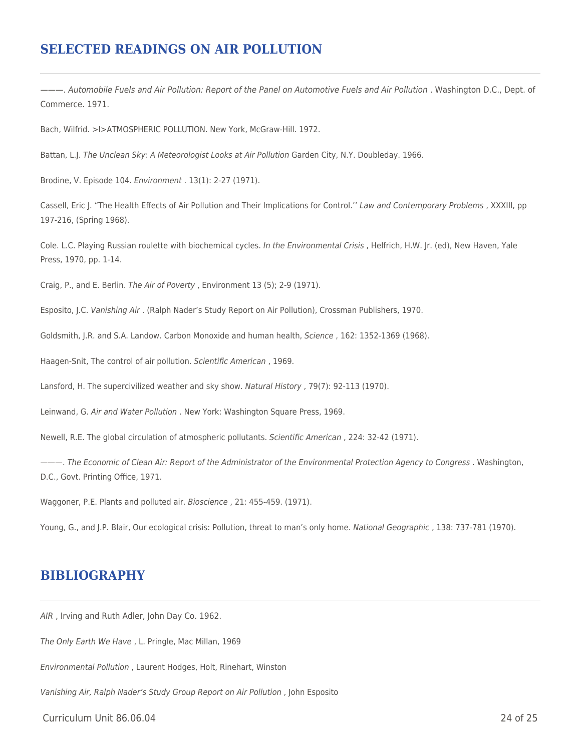## **SELECTED READINGS ON AIR POLLUTION**

———. Automobile Fuels and Air Pollution: Report of the Panel on Automotive Fuels and Air Pollution . Washington D.C., Dept. of Commerce. 1971.

Bach, Wilfrid. >I>ATMOSPHERIC POLLUTION. New York, McGraw-Hill. 1972.

Battan, L.J. The Unclean Sky: A Meteorologist Looks at Air Pollution Garden City, N.Y. Doubleday. 1966.

Brodine, V. Episode 104. Environment . 13(1): 2-27 (1971).

Cassell, Eric J. "The Health Effects of Air Pollution and Their Implications for Control.'' Law and Contemporary Problems , XXXIII, pp 197-216, (Spring 1968).

Cole. L.C. Playing Russian roulette with biochemical cycles. In the Environmental Crisis, Helfrich, H.W. Jr. (ed), New Haven, Yale Press, 1970, pp. 1-14.

Craig, P., and E. Berlin. The Air of Poverty , Environment 13 (5); 2-9 (1971).

Esposito, J.C. Vanishing Air . (Ralph Nader's Study Report on Air Pollution), Crossman Publishers, 1970.

Goldsmith, J.R. and S.A. Landow. Carbon Monoxide and human health, Science , 162: 1352-1369 (1968).

Haagen-Snit, The control of air pollution. Scientific American , 1969.

Lansford, H. The supercivilized weather and sky show. Natural History , 79(7): 92-113 (1970).

Leinwand, G. Air and Water Pollution . New York: Washington Square Press, 1969.

Newell, R.E. The global circulation of atmospheric pollutants. Scientific American , 224: 32-42 (1971).

———. The Economic of Clean Air: Report of the Administrator of the Environmental Protection Agency to Congress . Washington, D.C., Govt. Printing Office, 1971.

Waggoner, P.E. Plants and polluted air. Bioscience , 21: 455-459. (1971).

Young, G., and J.P. Blair, Our ecological crisis: Pollution, threat to man's only home. National Geographic, 138: 737-781 (1970).

## **BIBLIOGRAPHY**

AIR , Irving and Ruth Adler, John Day Co. 1962.

The Only Earth We Have , L. Pringle, Mac Millan, 1969

Environmental Pollution , Laurent Hodges, Holt, Rinehart, Winston

Vanishing Air, Ralph Nader's Study Group Report on Air Pollution , John Esposito

Curriculum Unit 86.06.04 24 of 25